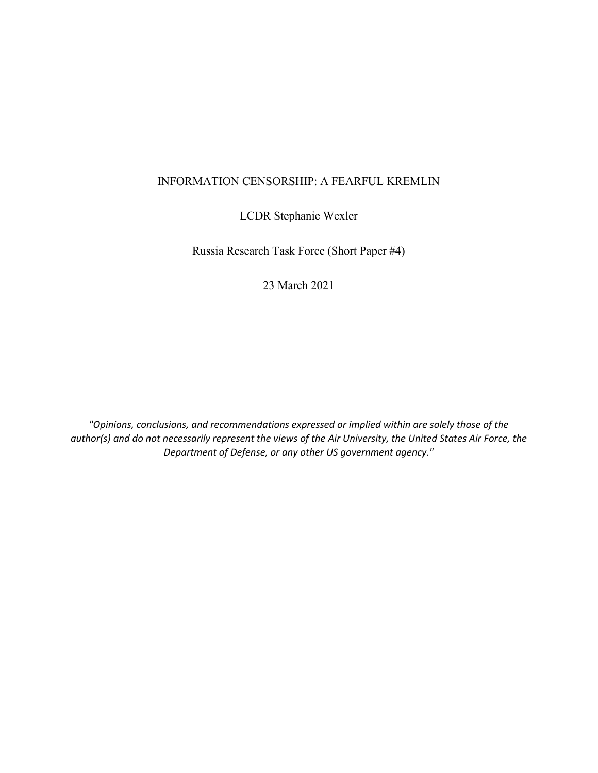## INFORMATION CENSORSHIP: A FEARFUL KREMLIN

LCDR Stephanie Wexler

Russia Research Task Force (Short Paper #4)

23 March 2021

*"Opinions, conclusions, and recommendations expressed or implied within are solely those of the author(s) and do not necessarily represent the views of the Air University, the United States Air Force, the Department of Defense, or any other US government agency."*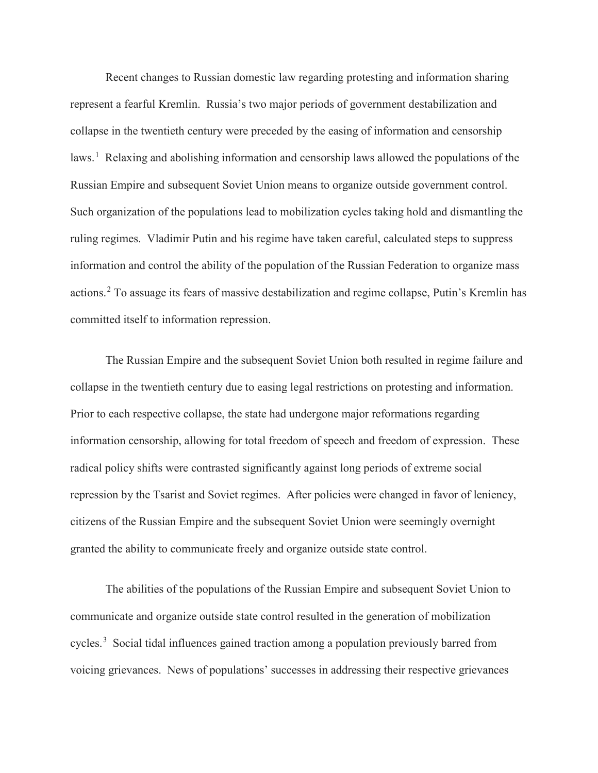Recent changes to Russian domestic law regarding protesting and information sharing represent a fearful Kremlin. Russia's two major periods of government destabilization and collapse in the twentieth century were preceded by the easing of information and censorship laws.<sup>[1](#page-3-0)</sup> Relaxing and abolishing information and censorship laws allowed the populations of the Russian Empire and subsequent Soviet Union means to organize outside government control. Such organization of the populations lead to mobilization cycles taking hold and dismantling the ruling regimes. Vladimir Putin and his regime have taken careful, calculated steps to suppress information and control the ability of the population of the Russian Federation to organize mass actions.[2](#page-3-1) To assuage its fears of massive destabilization and regime collapse, Putin's Kremlin has committed itself to information repression.

The Russian Empire and the subsequent Soviet Union both resulted in regime failure and collapse in the twentieth century due to easing legal restrictions on protesting and information. Prior to each respective collapse, the state had undergone major reformations regarding information censorship, allowing for total freedom of speech and freedom of expression. These radical policy shifts were contrasted significantly against long periods of extreme social repression by the Tsarist and Soviet regimes. After policies were changed in favor of leniency, citizens of the Russian Empire and the subsequent Soviet Union were seemingly overnight granted the ability to communicate freely and organize outside state control.

The abilities of the populations of the Russian Empire and subsequent Soviet Union to communicate and organize outside state control resulted in the generation of mobilization cycles.<sup>[3](#page-3-2)</sup> Social tidal influences gained traction among a population previously barred from voicing grievances. News of populations' successes in addressing their respective grievances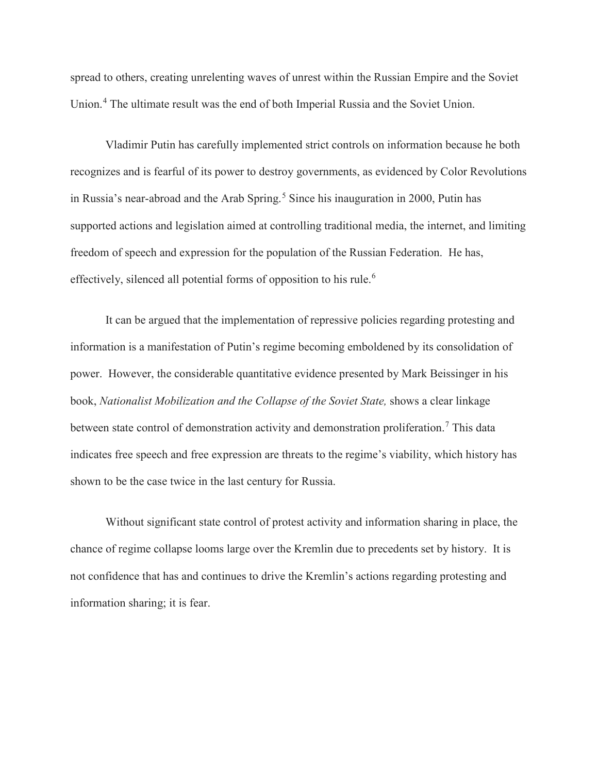spread to others, creating unrelenting waves of unrest within the Russian Empire and the Soviet Union.[4](#page-3-3) The ultimate result was the end of both Imperial Russia and the Soviet Union.

Vladimir Putin has carefully implemented strict controls on information because he both recognizes and is fearful of its power to destroy governments, as evidenced by Color Revolutions in Russia's near-abroad and the Arab Spring. [5](#page-3-4) Since his inauguration in 2000, Putin has supported actions and legislation aimed at controlling traditional media, the internet, and limiting freedom of speech and expression for the population of the Russian Federation. He has, effectively, silenced all potential forms of opposition to his rule.<sup>[6](#page-3-5)</sup>

It can be argued that the implementation of repressive policies regarding protesting and information is a manifestation of Putin's regime becoming emboldened by its consolidation of power. However, the considerable quantitative evidence presented by Mark Beissinger in his book, *Nationalist Mobilization and the Collapse of the Soviet State,* shows a clear linkage between state control of demonstration activity and demonstration proliferation.<sup>[7](#page-3-6)</sup> This data indicates free speech and free expression are threats to the regime's viability, which history has shown to be the case twice in the last century for Russia.

Without significant state control of protest activity and information sharing in place, the chance of regime collapse looms large over the Kremlin due to precedents set by history. It is not confidence that has and continues to drive the Kremlin's actions regarding protesting and information sharing; it is fear.